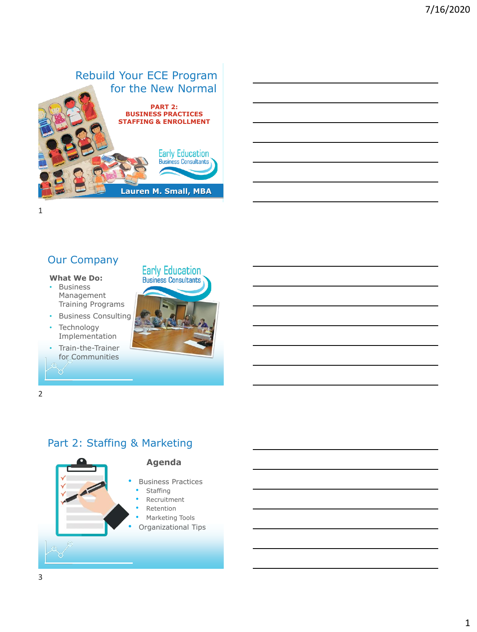

# Our Company

#### **What We Do:**

- Business Management Training Programs
- Business Consulting
- **Technology** Implementation
- Train-the-Trainer for Communities



2

#### Part 2: Staffing & Marketing

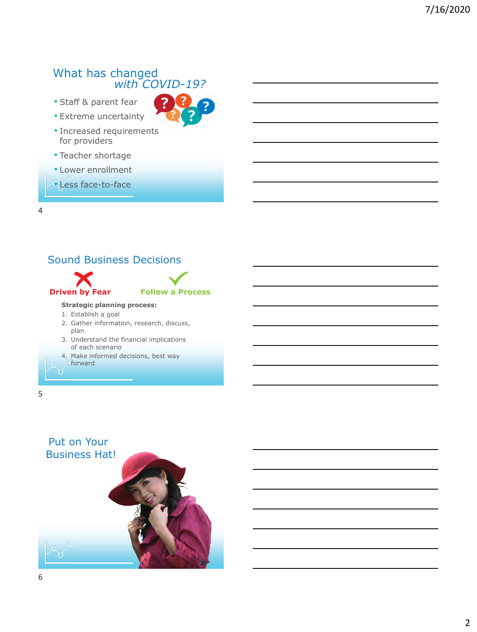#### What has changed *with COVID-19?*

• Staff & parent fear



- Increased requirements for providers
- Teacher shortage
- Lower enrollment
- Less face-to-face



- plan
- 3. Understand the financial implications of each scenario
- 4. Make informed decisions, best way forward
- 

4

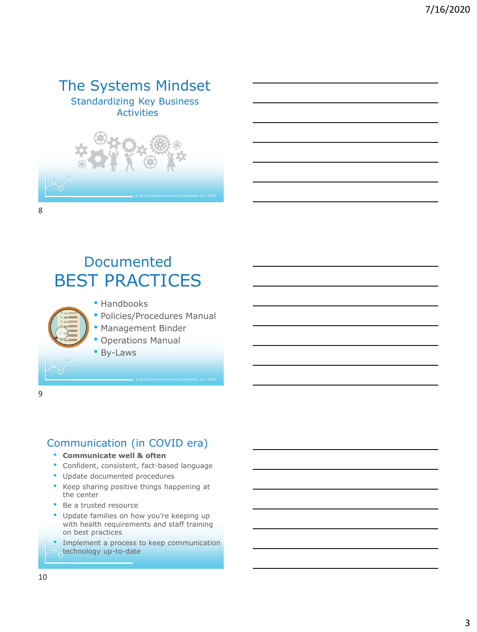# The Systems Mindset

Standardizing Key Business Activities



# Documented BEST PRACTICES

- Handbooks
- Policies/Procedures Manual

© Early Education Business Consultants, LLC 2020

- Management Binder
- Operations Manual
- By-Laws

9

## Communication (in COVID era)

- **Communicate well & often**
- Confident, consistent, fact-based language
- Update documented procedures
- Keep sharing positive things happening at the center
- Be a trusted resource
- Update families on how you're keeping up with health requirements and staff training on best practices
- Implement a process to keep communication technology up-to-date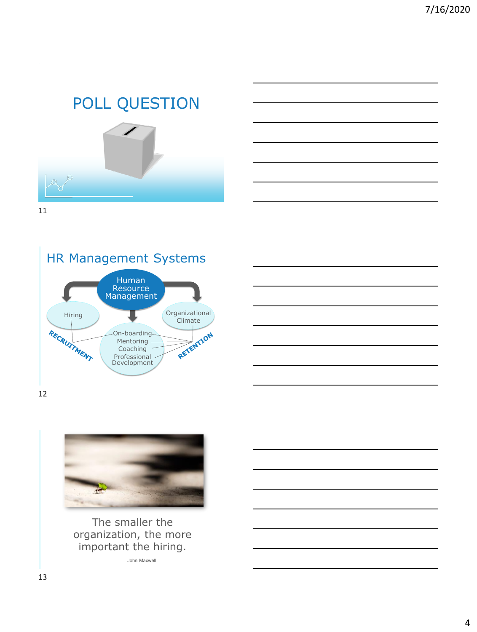# POLL QUESTION









12



The smaller the organization, the more important the hiring.

John Maxwell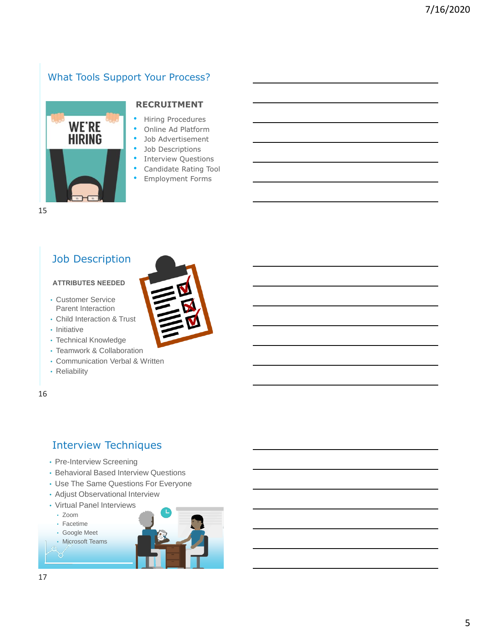## What Tools Support Your Process?



#### **RECRUITMENT**

- Hiring Procedures
- Online Ad Platform
- Job Advertisement
- Job Descriptions
- **Interview Questions**
- Candidate Rating Tool
- Employment Forms

15

#### Job Description

#### **ATTRIBUTES NEEDED**

- Customer Service Parent Interaction
- Child Interaction & Trust
- Initiative
- Technical Knowledge
- Teamwork & Collaboration
- Communication Verbal & Written
- Reliability

16

#### Interview Techniques

- Pre-Interview Screening
- Behavioral Based Interview Questions
- Use The Same Questions For Everyone
- Adjust Observational Interview
- Virtual Panel Interviews
	- Zoom
	- Facetime
- Google Meet





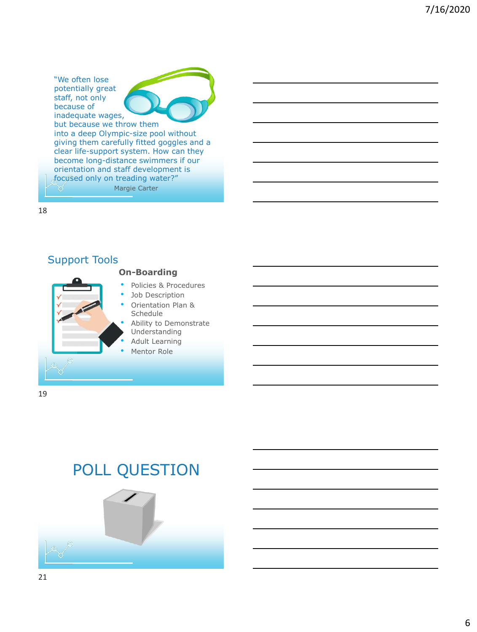"We often lose potentially great staff, not only because of inadequate wages, but because we throw them into a deep Olympic-size pool without giving them carefully fitted goggles and a clear life-support system. How can they become long-distance swimmers if our orientation and staff development is focused only on treading water?" Margie Carter ਲ

18

#### Policies & Procedures Job Description • Orientation Plan & Schedule Ability to Demonstrate Understanding • Adult Learning Mentor Role Support Tools **On-Boarding**

- 
- 
- 

19

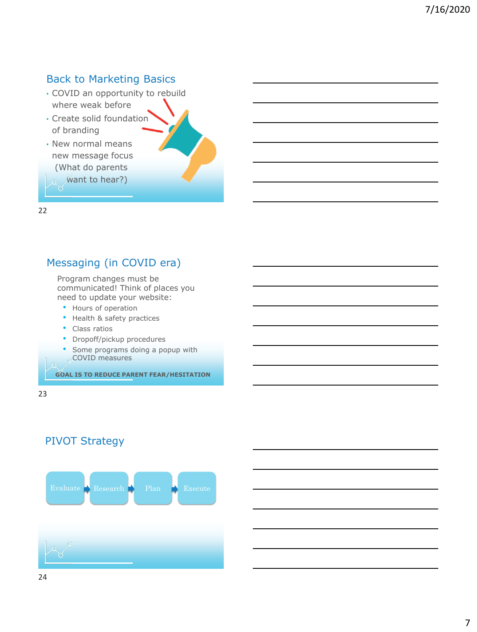#### Back to Marketing Basics

- COVID an opportunity to rebuild where weak before
- Create solid foundation of branding
- New normal means new message focus (What do parents

want to hear?)

22

#### Messaging (in COVID era)

Program changes must be communicated! Think of places you need to update your website:

- Hours of operation
- Health & safety practices
- Class ratios
- Dropoff/pickup procedures
- Some programs doing a popup with COVID measures

**GOAL IS TO REDUCE PARENT FEAR/HESITATION**



#### PIVOT Strategy

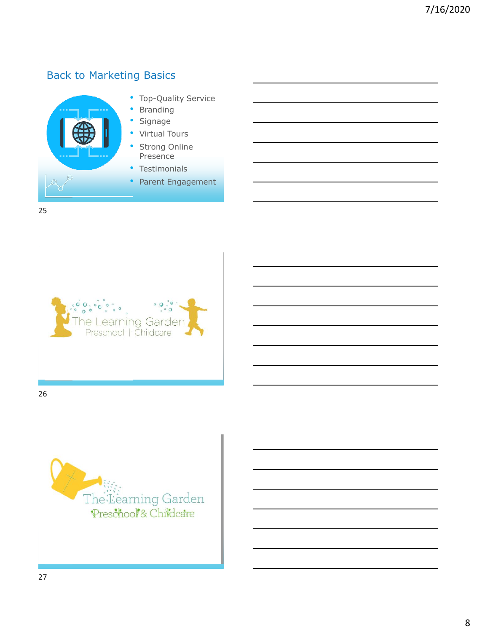## Back to Marketing Basics



 $\mathbf{C}$  $\circ$  $\Omega$ earning Garder Preschool + Childcare

26

25

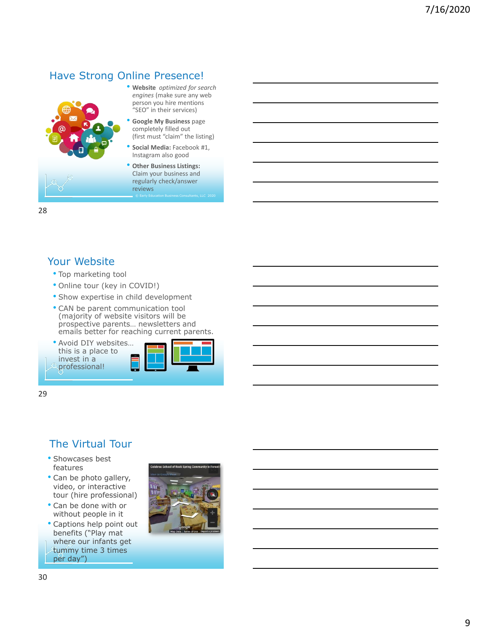#### Have Strong Online Presence!



- **Website** *optimized for search engines* (make sure any web person you hire mentions "SEO" in their services)
- **Google My Business** page completely filled out (first must "claim" the listing)
- **Social Media:** Facebook #1, Instagram also good
- © Early Education Business Consultants, LLC 2020 • **Other Business Listings:**  Claim your business and regularly check/answer reviews

28

#### Your Website

- Top marketing tool
- Online tour (key in COVID!)
- Show expertise in child development
- CAN be parent communication tool (majority of website visitors will be prospective parents… newsletters and emails better for reaching current parents.
- Avoid DIY websites… this is a place to invest in a professional!



29

## The Virtual Tour

- Showcases best features
- Can be photo gallery, video, or interactive tour (hire professional)
- Can be done with or without people in it
- Captions help point out benefits ("Play mat where our infants get tummy time 3 times per day")

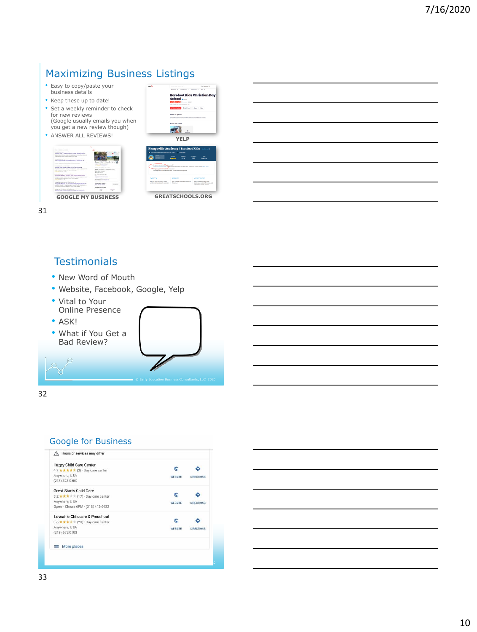## Maximizing Business Listings

- Easy to copy/paste your business details
- Keep these up to date! • Set a weekly reminder to check for new reviews (Google usually emails you when you get a new review though)
- ANSWER ALL REVIEWS!

| don't into sold at 5 million.                                                                                                     |                                                         |  |
|-----------------------------------------------------------------------------------------------------------------------------------|---------------------------------------------------------|--|
| <b>REMEMBERING CONTROLLERS</b><br>Benduzzitzki, Challer Prochest Photo Kingsstahl VA                                              |                                                         |  |
| dealer was from the detail interestingly countries and a standard                                                                 |                                                         |  |
| THE COLOR CARDS ENTERTAINMENT CORP.                                                                                               |                                                         |  |
| Management Council (1999) (1999) (1999) (1999) (1999) (1999)                                                                      |                                                         |  |
| About Business Avia + Chromical Projection & Interview Ro. LA                                                                     |                                                         |  |
| professional structures. In a competition of the competition of a client of a complete                                            | Execlect Kids Christian Day Scho<br>App.   Bristo   Mo. |  |
| detailed the influencing is accounted by contemporary of change.                                                                  |                                                         |  |
| We have a series of the company of the                                                                                            | <b>TAXABLE DESIGN SHOP</b>                              |  |
| Modernia Childer Da 3902 - Hancomode                                                                                              | 22 month of Farin has today                             |  |
| NAME RECORDS FOR DWOL. CONSIGNORS OF DESCRIPTIONS OF REAL PROPERTY.                                                               | Addis converse to consider in eds.                      |  |
| while of most of three party for class street discrete.<br>advertising on motion                                                  | <b>BUSINE SHARPS</b>                                    |  |
|                                                                                                                                   | Water Int, and must                                     |  |
| anywhether a literature hand of the control of the                                                                                | A team extraorer                                        |  |
| Kalloonell Academy   Bandled Willy - Trainer Heady, Vicaria<br>between a waren department class him. In the state and state       | happy to sale. Can be recognitive in                    |  |
| program to a strip and consider parent dollar. The con-                                                                           | the College of Community                                |  |
| <b>EXHIBITION</b> FOR                                                                                                             | <b>BANKING ON AT LCCC AT MAIL AT</b>                    |  |
| Military of the control and of the control of the con-                                                                            |                                                         |  |
| <b>Remote Analysis for his Bandya Kids   Home Back VA</b>                                                                         | <b>Experiment A symmetry</b><br>Britt Film and A Andrew |  |
| business and was as in decomposition a called an integrate them a point of<br>to be the state of the company could be a second as |                                                         |  |
|                                                                                                                                   | <b>Bridge foot for sell</b>                             |  |
| mean and process distribution (new condition) (e) and                                                                             | $\sim$                                                  |  |
| Bookstone Cheductes Mini-Stock (Ched Fried River Cars.)                                                                           |                                                         |  |
|                                                                                                                                   |                                                         |  |

31

#### **Testimonials**

- New Word of Mouth
- Website, Facebook, Google, Yelp
- Vital to Your Online Presence
- ASK!
- What if You Get a Bad Review?



**GREATSCHOOLS.ORG** 

Least-hore about the street<br>toolton and contact refer had<br>mylest other smally sirious

**YELP**

my / Barefoot Kids

Barefoot Kids Christian<br>School

32

#### Google for Business

| Happy Child Care Center                            |                |                   |
|----------------------------------------------------|----------------|-------------------|
| 4.7 ★ ★ ★ ★ ★ (3) · Day care center                |                |                   |
| Anywhere, USA                                      | WEBSITE        | DIRECTIONS        |
| $(218)$ 323-0550                                   |                |                   |
| <b>Great Starts Child Care</b>                     |                |                   |
| 3.2 ***** (17) Day care center                     |                |                   |
| Anwhere, USA                                       | <b>WEBSITE</b> | <b>DIRECTIONS</b> |
| Open · Closes 6PM · (218) 442-6422                 |                |                   |
| Loveable Childcare & Preschool                     |                |                   |
| 3.6 $\star \star \star \star$ (20) Day care center |                |                   |
| Anywhere, USA                                      | <b>WEBSITE</b> | <b>DIRECTIONS</b> |
| $(218)$ 672-0103                                   |                |                   |
| ≡ More places                                      |                |                   |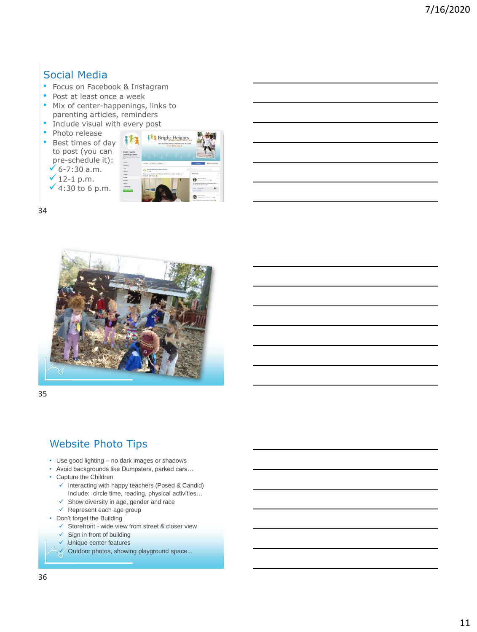## Social Media

- Focus on Facebook & Instagram
- Post at least once a week
- Mix of center-happenings, links to parenting articles, reminders

Ē.

- Include visual with every post
- Photo release
- Best times of day to post (you can pre-schedule it):  $√ 6-7:30 a.m.$  $√ 12-1 p.m.$  $\checkmark$  4:30 to 6 p.m.

|                                                         | <b>A</b> Bright Heights<br>THESE KIN Cross Performs 1 Hannover Manus, VA 23400<br>757-875-5669  |                                                                                                                                                                                         |  |
|---------------------------------------------------------|-------------------------------------------------------------------------------------------------|-----------------------------------------------------------------------------------------------------------------------------------------------------------------------------------------|--|
| <b>It Heights</b><br>ring Center<br><b>Highland Ave</b> |                                                                                                 |                                                                                                                                                                                         |  |
| u                                                       | atta Scher attes -                                                                              | <b>G</b> Scott Montage<br>Caller                                                                                                                                                        |  |
|                                                         | $\sim$<br><b>EFA</b> Magnesipin Laurang Corner                                                  | G. main to control the Four                                                                                                                                                             |  |
|                                                         | Prank you so much to the hitdiners funds for providing lumit its our<br>anythelic matterial all | ×.<br>Matthew Marche                                                                                                                                                                    |  |
| ı                                                       |                                                                                                 | <b>Pearston Room</b><br><b>STATE</b><br>Francis In a Linked L.<br>12 Auxie had a post fire at the mere party in<br><b>Rachambigue State (mary)</b><br>Films 3 Element<br>$\mathbf{a}$ . |  |
| <b>STAP</b>                                             |                                                                                                 | 1-84 Chimnett<br>Tara Fonett<br>$\sim$<br><b>CENTRAL CONTRACTOR</b>                                                                                                                     |  |
|                                                         |                                                                                                 | man a sale and specializing to school @                                                                                                                                                 |  |

34



35

#### Website Photo Tips

- Use good lighting no dark images or shadows
- Avoid backgrounds like Dumpsters, parked cars…
- Capture the Children
	- ✓ Interacting with happy teachers (Posed & Candid) Include: circle time, reading, physical activities…
	- ✓ Show diversity in age, gender and race
	- $\checkmark$  Represent each age group
- Don't forget the Building
	- ✓ Storefront wide view from street & closer view
	- $\checkmark$  Sign in front of building
	- ✓ Unique center features
	- ✓ Outdoor photos, showing playground space...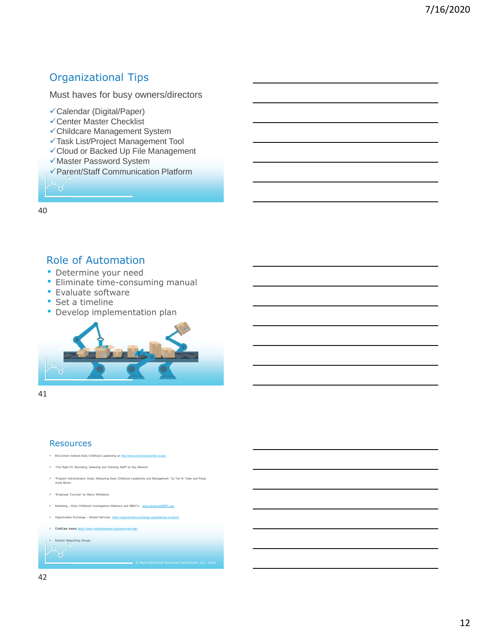#### Organizational Tips

Must haves for busy owners/directors

- ✓Calendar (Digital/Paper)
- ✓Center Master Checklist
- ✓Childcare Management System
- ✓Task List/Project Management Tool
- ✓Cloud or Backed Up File Management
- ✓Master Password System
- ✓Parent/Staff Communication Platform

40

#### Role of Automation

- Determine your need
- Eliminate time-consuming manual
- Evaluate software
- Set a timeline
- Develop implementation plan



41

#### **Resources**

- .<br>mick Institute Early Childhood Leadership at http:/
- "The Right Fit, Recruiting, Selecting and Orienting Staff" by Kay Albrecht
- "Program Administration Scale, Measuring Early Childhood Leadership and Management," by Teri N. Talan and Paula Jorde Bloom
- "Employee Turnover" by Marcy Whitebook
- .<br>Ing Early Childhood Investigations Webinars and SBDC's w
- exchange Shared Services https://
- ChildCare Aware https://w
- **Director Networking Groups**